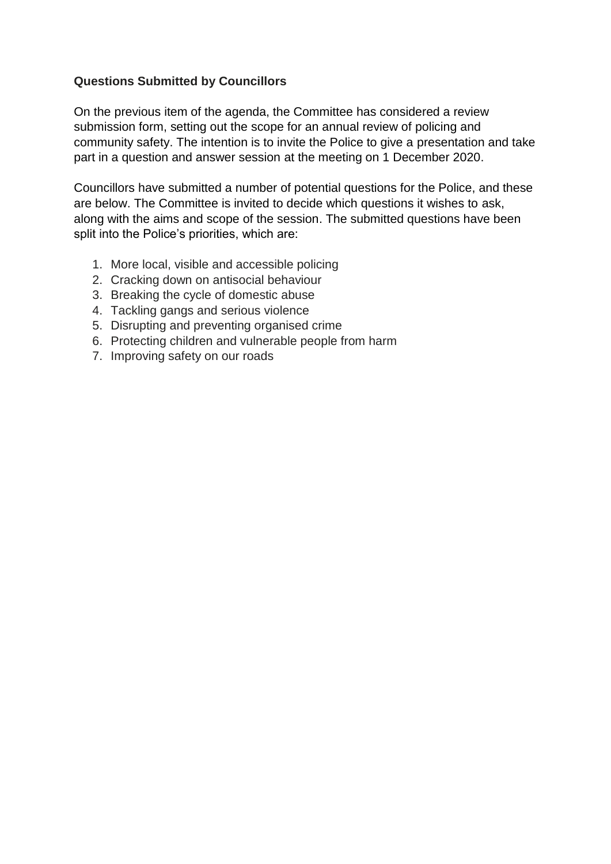## **Questions Submitted by Councillors**

On the previous item of the agenda, the Committee has considered a review submission form, setting out the scope for an annual review of policing and community safety. The intention is to invite the Police to give a presentation and take part in a question and answer session at the meeting on 1 December 2020.

Councillors have submitted a number of potential questions for the Police, and these are below. The Committee is invited to decide which questions it wishes to ask, along with the aims and scope of the session. The submitted questions have been split into the Police's priorities, which are:

- 1. More local, visible and accessible policing
- 2. Cracking down on antisocial behaviour
- 3. Breaking the cycle of domestic abuse
- 4. Tackling gangs and serious violence
- 5. Disrupting and preventing organised crime
- 6. Protecting children and vulnerable people from harm
- 7. Improving safety on our roads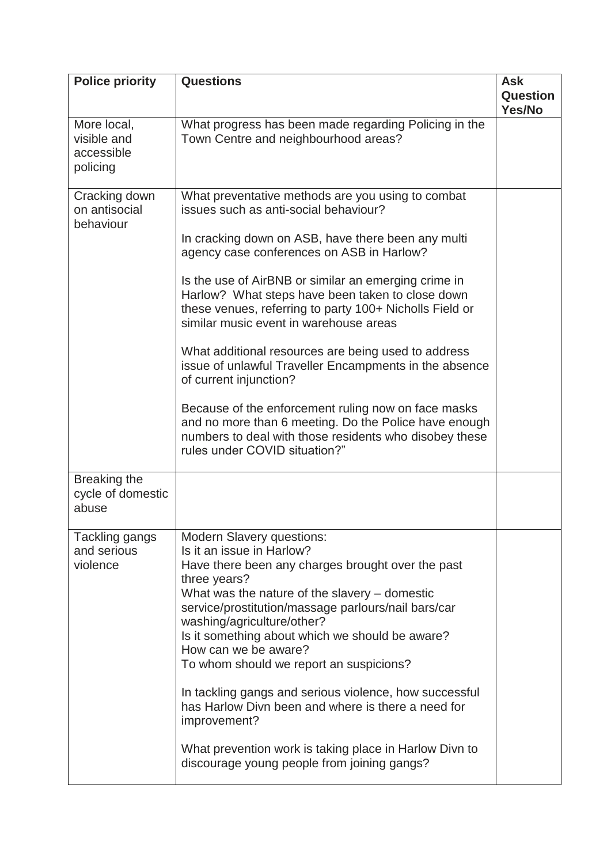| <b>Police priority</b>                               | <b>Questions</b>                                                                                                                                                                                                                                                                                                                                                                                                                                                                                                                                                                                                                                                                                                                                                     | <b>Ask</b><br>Question<br>Yes/No |
|------------------------------------------------------|----------------------------------------------------------------------------------------------------------------------------------------------------------------------------------------------------------------------------------------------------------------------------------------------------------------------------------------------------------------------------------------------------------------------------------------------------------------------------------------------------------------------------------------------------------------------------------------------------------------------------------------------------------------------------------------------------------------------------------------------------------------------|----------------------------------|
| More local,<br>visible and<br>accessible<br>policing | What progress has been made regarding Policing in the<br>Town Centre and neighbourhood areas?                                                                                                                                                                                                                                                                                                                                                                                                                                                                                                                                                                                                                                                                        |                                  |
| Cracking down<br>on antisocial<br>behaviour          | What preventative methods are you using to combat<br>issues such as anti-social behaviour?<br>In cracking down on ASB, have there been any multi<br>agency case conferences on ASB in Harlow?<br>Is the use of AirBNB or similar an emerging crime in<br>Harlow? What steps have been taken to close down<br>these venues, referring to party 100+ Nicholls Field or<br>similar music event in warehouse areas<br>What additional resources are being used to address<br>issue of unlawful Traveller Encampments in the absence<br>of current injunction?<br>Because of the enforcement ruling now on face masks<br>and no more than 6 meeting. Do the Police have enough<br>numbers to deal with those residents who disobey these<br>rules under COVID situation?" |                                  |
| Breaking the<br>cycle of domestic<br>abuse           |                                                                                                                                                                                                                                                                                                                                                                                                                                                                                                                                                                                                                                                                                                                                                                      |                                  |
| Tackling gangs<br>and serious<br>violence            | <b>Modern Slavery questions:</b><br>Is it an issue in Harlow?<br>Have there been any charges brought over the past<br>three years?<br>What was the nature of the slavery – domestic<br>service/prostitution/massage parlours/nail bars/car<br>washing/agriculture/other?<br>Is it something about which we should be aware?<br>How can we be aware?<br>To whom should we report an suspicions?<br>In tackling gangs and serious violence, how successful<br>has Harlow Divn been and where is there a need for<br>improvement?<br>What prevention work is taking place in Harlow Divn to<br>discourage young people from joining gangs?                                                                                                                              |                                  |